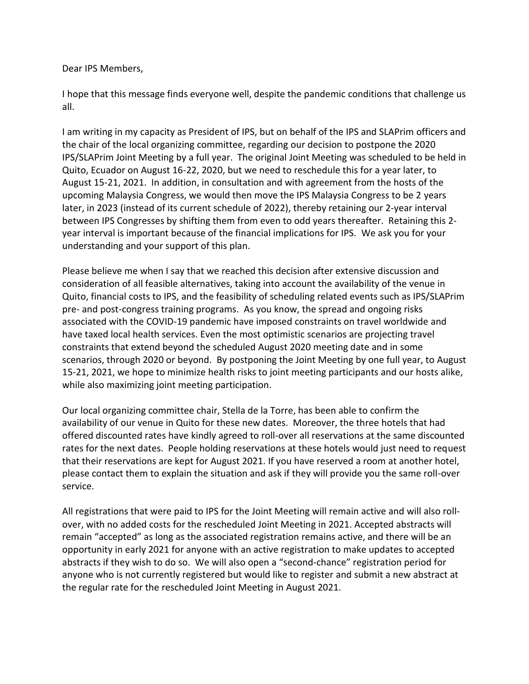## Dear IPS Members,

I hope that this message finds everyone well, despite the pandemic conditions that challenge us all.

I am writing in my capacity as President of IPS, but on behalf of the IPS and SLAPrim officers and the chair of the local organizing committee, regarding our decision to postpone the 2020 IPS/SLAPrim Joint Meeting by a full year. The original Joint Meeting was scheduled to be held in Quito, Ecuador on August 16-22, 2020, but we need to reschedule this for a year later, to August 15-21, 2021. In addition, in consultation and with agreement from the hosts of the upcoming Malaysia Congress, we would then move the IPS Malaysia Congress to be 2 years later, in 2023 (instead of its current schedule of 2022), thereby retaining our 2-year interval between IPS Congresses by shifting them from even to odd years thereafter. Retaining this 2 year interval is important because of the financial implications for IPS. We ask you for your understanding and your support of this plan.

Please believe me when I say that we reached this decision after extensive discussion and consideration of all feasible alternatives, taking into account the availability of the venue in Quito, financial costs to IPS, and the feasibility of scheduling related events such as IPS/SLAPrim pre- and post-congress training programs. As you know, the spread and ongoing risks associated with the COVID-19 pandemic have imposed constraints on travel worldwide and have taxed local health services. Even the most optimistic scenarios are projecting travel constraints that extend beyond the scheduled August 2020 meeting date and in some scenarios, through 2020 or beyond. By postponing the Joint Meeting by one full year, to August 15-21, 2021, we hope to minimize health risks to joint meeting participants and our hosts alike, while also maximizing joint meeting participation.

Our local organizing committee chair, Stella de la Torre, has been able to confirm the availability of our venue in Quito for these new dates. Moreover, the three hotels that had offered discounted rates have kindly agreed to roll-over all reservations at the same discounted rates for the next dates. People holding reservations at these hotels would just need to request that their reservations are kept for August 2021. If you have reserved a room at another hotel, please contact them to explain the situation and ask if they will provide you the same roll-over service.

All registrations that were paid to IPS for the Joint Meeting will remain active and will also rollover, with no added costs for the rescheduled Joint Meeting in 2021. Accepted abstracts will remain "accepted" as long as the associated registration remains active, and there will be an opportunity in early 2021 for anyone with an active registration to make updates to accepted abstracts if they wish to do so. We will also open a "second-chance" registration period for anyone who is not currently registered but would like to register and submit a new abstract at the regular rate for the rescheduled Joint Meeting in August 2021.